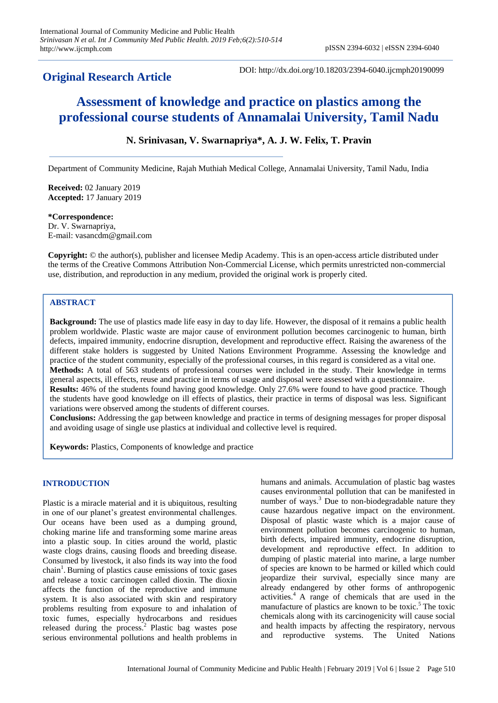# **Original Research Article**

DOI: http://dx.doi.org/10.18203/2394-6040.ijcmph20190099

# **Assessment of knowledge and practice on plastics among the professional course students of Annamalai University, Tamil Nadu**

# **N. Srinivasan, V. Swarnapriya\*, A. J. W. Felix, T. Pravin**

Department of Community Medicine, Rajah Muthiah Medical College, Annamalai University, Tamil Nadu, India

**Received:** 02 January 2019 **Accepted:** 17 January 2019

#### **\*Correspondence:**

Dr. V. Swarnapriya, E-mail: vasancdm@gmail.com

**Copyright:** © the author(s), publisher and licensee Medip Academy. This is an open-access article distributed under the terms of the Creative Commons Attribution Non-Commercial License, which permits unrestricted non-commercial use, distribution, and reproduction in any medium, provided the original work is properly cited.

# **ABSTRACT**

**Background:** The use of plastics made life easy in day to day life. However, the disposal of it remains a public health problem worldwide. Plastic waste are major cause of environment pollution becomes carcinogenic to human, birth defects, impaired immunity, endocrine disruption, development and reproductive effect. Raising the awareness of the different stake holders is suggested by United Nations Environment Programme. Assessing the knowledge and practice of the student community, especially of the professional courses, in this regard is considered as a vital one. **Methods:** A total of 563 students of professional courses were included in the study. Their knowledge in terms general aspects, ill effects, reuse and practice in terms of usage and disposal were assessed with a questionnaire. **Results:** 46% of the students found having good knowledge. Only 27.6% were found to have good practice. Though the students have good knowledge on ill effects of plastics, their practice in terms of disposal was less. Significant variations were observed among the students of different courses.

**Conclusions:** Addressing the gap between knowledge and practice in terms of designing messages for proper disposal and avoiding usage of single use plastics at individual and collective level is required.

**Keywords:** Plastics, Components of knowledge and practice

## **INTRODUCTION**

Plastic is a miracle material and it is ubiquitous, resulting in one of our planet's greatest environmental challenges. Our oceans have been used as a dumping ground, choking marine life and transforming some marine areas into a plastic soup. In cities around the world, plastic waste clogs drains, causing floods and breeding disease. Consumed by livestock, it also finds its way into the food chain<sup>1</sup>. Burning of plastics cause emissions of toxic gases and release a toxic carcinogen called dioxin. The dioxin affects the function of the reproductive and immune system. It is also associated with skin and respiratory problems resulting from exposure to and inhalation of toxic fumes, especially hydrocarbons and residues released during the process.<sup>2</sup> Plastic bag wastes pose serious environmental pollutions and health problems in humans and animals. Accumulation of plastic bag wastes causes environmental pollution that can be manifested in number of ways.<sup>3</sup> Due to non-biodegradable nature they cause hazardous negative impact on the environment. Disposal of plastic waste which is a major cause of environment pollution becomes carcinogenic to human, birth defects, impaired immunity, endocrine disruption, development and reproductive effect. In addition to dumping of plastic material into marine, a large number of species are known to be harmed or killed which could jeopardize their survival, especially since many are already endangered by other forms of anthropogenic activities.<sup>4</sup>A range of chemicals that are used in the manufacture of plastics are known to be toxic.<sup>5</sup> The toxic chemicals along with its carcinogenicity will cause social and health impacts by affecting the respiratory, nervous and reproductive systems. The United Nations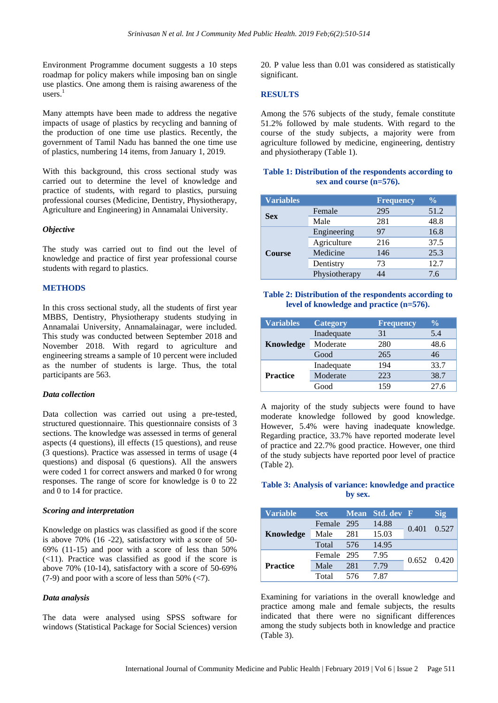Environment Programme document suggests a 10 steps roadmap for policy makers while imposing ban on single use plastics. One among them is raising awareness of the users. $<sup>1</sup>$ </sup>

Many attempts have been made to address the negative impacts of usage of plastics by recycling and banning of the production of one time use plastics. Recently, the government of Tamil Nadu has banned the one time use of plastics, numbering 14 items, from January 1, 2019.

With this background, this cross sectional study was carried out to determine the level of knowledge and practice of students, with regard to plastics, pursuing professional courses (Medicine, Dentistry, Physiotherapy, Agriculture and Engineering) in Annamalai University.

#### *Objective*

The study was carried out to find out the level of knowledge and practice of first year professional course students with regard to plastics.

## **METHODS**

In this cross sectional study, all the students of first year MBBS, Dentistry, Physiotherapy students studying in Annamalai University, Annamalainagar, were included. This study was conducted between September 2018 and November 2018. With regard to agriculture and engineering streams a sample of 10 percent were included as the number of students is large. Thus, the total participants are 563.

#### *Data collection*

Data collection was carried out using a pre-tested, structured questionnaire. This questionnaire consists of 3 sections. The knowledge was assessed in terms of general aspects (4 questions), ill effects (15 questions), and reuse (3 questions). Practice was assessed in terms of usage (4 questions) and disposal (6 questions). All the answers were coded 1 for correct answers and marked 0 for wrong responses. The range of score for knowledge is 0 to 22 and 0 to 14 for practice.

#### *Scoring and interpretation*

Knowledge on plastics was classified as good if the score is above 70% (16 -22), satisfactory with a score of 50- 69% (11-15) and poor with a score of less than 50%  $(\leq 11)$ . Practice was classified as good if the score is above 70% (10-14), satisfactory with a score of 50-69% (7-9) and poor with a score of less than 50% ( $\lt$ 7).

## *Data analysis*

The data were analysed using SPSS software for windows (Statistical Package for Social Sciences) version 20. P value less than 0.01 was considered as statistically significant.

#### **RESULTS**

Among the 576 subjects of the study, female constitute 51.2% followed by male students. With regard to the course of the study subjects, a majority were from agriculture followed by medicine, engineering, dentistry and physiotherapy (Table 1).

# **Table 1: Distribution of the respondents according to sex and course (n=576).**

| <b>Variables</b> |               | <b>Frequency</b> | $\frac{6}{6}$ |  |
|------------------|---------------|------------------|---------------|--|
|                  | Female        | 295              | 51.2          |  |
| <b>Sex</b>       | Male          | 281              | 48.8          |  |
| <b>Course</b>    | Engineering   | 97               | 16.8          |  |
|                  | Agriculture   | 216              | 37.5          |  |
|                  | Medicine      | 146              | 25.3          |  |
|                  | Dentistry     | 73               | 12.7          |  |
|                  | Physiotherapy | 44               | 7.6           |  |

#### **Table 2: Distribution of the respondents according to level of knowledge and practice (n=576).**

| <b>Variables</b> | <b>Category</b> | <b>Frequency</b> | $\frac{0}{0}$ |
|------------------|-----------------|------------------|---------------|
|                  | Inadequate      | 31               | 5.4           |
| Knowledge        | Moderate        | 280              | 48.6          |
|                  | Good            | 265              | 46            |
|                  | Inadequate      | 194              | 33.7          |
| <b>Practice</b>  | Moderate        | 223              | 38.7          |
|                  | Good            | 159              | 27.6          |

A majority of the study subjects were found to have moderate knowledge followed by good knowledge. However, 5.4% were having inadequate knowledge. Regarding practice, 33.7% have reported moderate level of practice and 22.7% good practice. However, one third of the study subjects have reported poor level of practice (Table 2).

# **Table 3: Analysis of variance: knowledge and practice by sex.**

| <b>Variable</b> | Sex        |     | Mean Std. dev F |                 | <b>Sig</b> |
|-----------------|------------|-----|-----------------|-----------------|------------|
| Knowledge       | Female 295 |     | 14.88           | 0.401           | 0.527      |
|                 | Male       | 281 | 15.03           |                 |            |
|                 | Total      | 576 | 14.95           |                 |            |
|                 | Female 295 |     | 7.95            |                 |            |
| <b>Practice</b> | Male       | 281 | 7.79            | $0.652$ $0.420$ |            |
|                 | Total      | 576 | 7.87            |                 |            |

Examining for variations in the overall knowledge and practice among male and female subjects, the results indicated that there were no significant differences among the study subjects both in knowledge and practice (Table 3).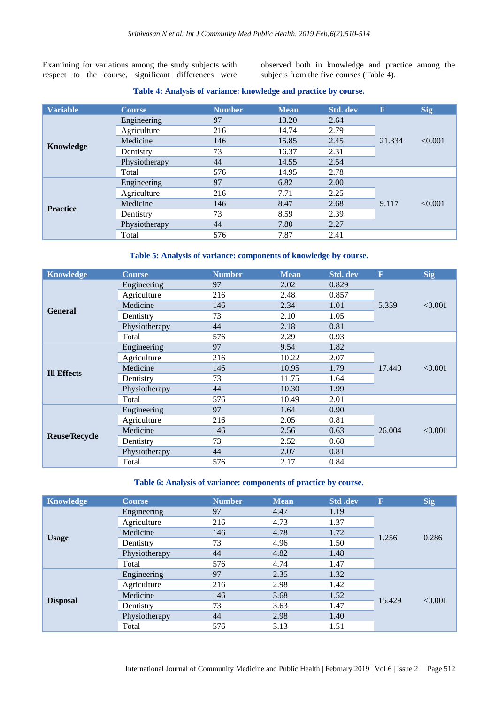Examining for variations among the study subjects with respect to the course, significant differences were

observed both in knowledge and practice among the subjects from the five courses (Table 4).

#### **Table 4: Analysis of variance: knowledge and practice by course.**

| <b>Variable</b> | <b>Course</b> | <b>Number</b> | <b>Mean</b> | <b>Std.</b> dev | $\mathbf F$ | Sig     |
|-----------------|---------------|---------------|-------------|-----------------|-------------|---------|
|                 | Engineering   | 97            | 13.20       | 2.64            |             | < 0.001 |
|                 | Agriculture   | 216           | 14.74       | 2.79            |             |         |
|                 | Medicine      | 146           | 15.85       | 2.45            | 21.334      |         |
| Knowledge       | Dentistry     | 73            | 16.37       | 2.31            |             |         |
|                 | Physiotherapy | 44            | 14.55       | 2.54            |             |         |
|                 | Total         | 576           | 14.95       | 2.78            |             |         |
| <b>Practice</b> | Engineering   | 97            | 6.82        | 2.00            |             | < 0.001 |
|                 | Agriculture   | 216           | 7.71        | 2.25            |             |         |
|                 | Medicine      | 146           | 8.47        | 2.68            | 9.117       |         |
|                 | Dentistry     | 73            | 8.59        | 2.39            |             |         |
|                 | Physiotherapy | 44            | 7.80        | 2.27            |             |         |
|                 | Total         | 576           | 7.87        | 2.41            |             |         |

# **Table 5: Analysis of variance: components of knowledge by course.**

| <b>Knowledge</b>     | <b>Course</b> | <b>Number</b> | <b>Mean</b> | Std. dev | $\overline{\mathbf{F}}$ | <b>Sig</b> |
|----------------------|---------------|---------------|-------------|----------|-------------------------|------------|
|                      | Engineering   | 97            | 2.02        | 0.829    |                         | < 0.001    |
|                      | Agriculture   | 216           | 2.48        | 0.857    |                         |            |
| <b>General</b>       | Medicine      | 146           | 2.34        | 1.01     | 5.359                   |            |
|                      | Dentistry     | 73            | 2.10        | 1.05     |                         |            |
|                      | Physiotherapy | 44            | 2.18        | 0.81     |                         |            |
|                      | Total         | 576           | 2.29        | 0.93     |                         |            |
|                      | Engineering   | 97            | 9.54        | 1.82     |                         | < 0.001    |
|                      | Agriculture   | 216           | 10.22       | 2.07     | 17.440                  |            |
| <b>Ill Effects</b>   | Medicine      | 146           | 10.95       | 1.79     |                         |            |
|                      | Dentistry     | 73            | 11.75       | 1.64     |                         |            |
|                      | Physiotherapy | 44            | 10.30       | 1.99     |                         |            |
|                      | Total         | 576           | 10.49       | 2.01     |                         |            |
| <b>Reuse/Recycle</b> | Engineering   | 97            | 1.64        | 0.90     | 26.004                  | < 0.001    |
|                      | Agriculture   | 216           | 2.05        | 0.81     |                         |            |
|                      | Medicine      | 146           | 2.56        | 0.63     |                         |            |
|                      | Dentistry     | 73            | 2.52        | 0.68     |                         |            |
|                      | Physiotherapy | 44            | 2.07        | 0.81     |                         |            |
|                      | Total         | 576           | 2.17        | 0.84     |                         |            |

#### **Table 6: Analysis of variance: components of practice by course.**

| <b>Knowledge</b> | <b>Course</b> | <b>Number</b> | <b>Mean</b> | Std .dev | $\overline{\textbf{F}}$ | <b>Sig</b> |
|------------------|---------------|---------------|-------------|----------|-------------------------|------------|
|                  | Engineering   | 97            | 4.47        | 1.19     | 1.256                   | 0.286      |
|                  | Agriculture   | 216           | 4.73        | 1.37     |                         |            |
|                  | Medicine      | 146           | 4.78        | 1.72     |                         |            |
| <b>Usage</b>     | Dentistry     | 73            | 4.96        | 1.50     |                         |            |
|                  | Physiotherapy | 44            | 4.82        | 1.48     |                         |            |
|                  | Total         | 576           | 4.74        | 1.47     |                         |            |
| <b>Disposal</b>  | Engineering   | 97            | 2.35        | 1.32     | 15.429                  | < 0.001    |
|                  | Agriculture   | 216           | 2.98        | 1.42     |                         |            |
|                  | Medicine      | 146           | 3.68        | 1.52     |                         |            |
|                  | Dentistry     | 73            | 3.63        | 1.47     |                         |            |
|                  | Physiotherapy | 44            | 2.98        | 1.40     |                         |            |
|                  | Total         | 576           | 3.13        | 1.51     |                         |            |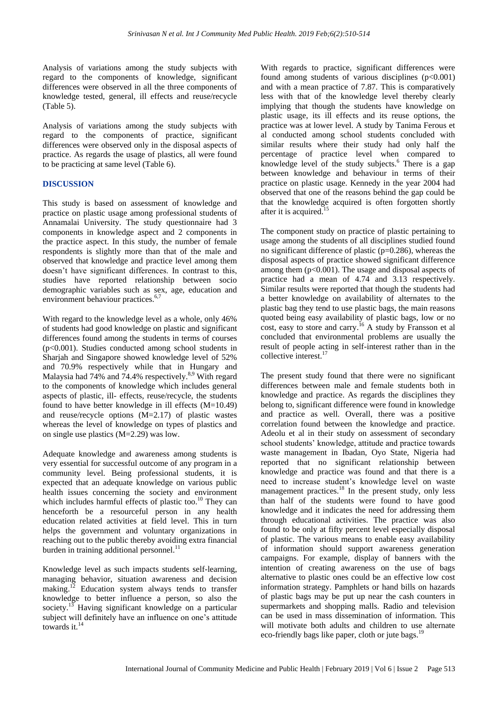Analysis of variations among the study subjects with regard to the components of knowledge, significant differences were observed in all the three components of knowledge tested, general, ill effects and reuse/recycle (Table 5).

Analysis of variations among the study subjects with regard to the components of practice, significant differences were observed only in the disposal aspects of practice. As regards the usage of plastics, all were found to be practicing at same level (Table 6).

# **DISCUSSION**

This study is based on assessment of knowledge and practice on plastic usage among professional students of Annamalai University. The study questionnaire had 3 components in knowledge aspect and 2 components in the practice aspect. In this study, the number of female respondents is slightly more than that of the male and observed that knowledge and practice level among them doesn't have significant differences. In contrast to this, studies have reported relationship between socio demographic variables such as sex, age, education and environment behaviour practices.<sup>6,7</sup>

With regard to the knowledge level as a whole, only 46% of students had good knowledge on plastic and significant differences found among the students in terms of courses (p<0.001). Studies conducted among school students in Sharjah and Singapore showed knowledge level of 52% and 70.9% respectively while that in Hungary and Malaysia had 74% and 74.4% respectively.<sup>8,9</sup> With regard to the components of knowledge which includes general aspects of plastic, ill- effects, reuse/recycle, the students found to have better knowledge in ill effects  $(M=10.49)$ and reuse/recycle options (M=2.17) of plastic wastes whereas the level of knowledge on types of plastics and on single use plastics (M=2.29) was low.

Adequate knowledge and awareness among students is very essential for successful outcome of any program in a community level. Being professional students, it is expected that an adequate knowledge on various public health issues concerning the society and environment which includes harmful effects of plastic too.<sup>10</sup> They can henceforth be a resourceful person in any health education related activities at field level. This in turn helps the government and voluntary organizations in reaching out to the public thereby avoiding extra financial burden in training additional personnel. $^{11}$ 

Knowledge level as such impacts students self-learning, managing behavior, situation awareness and decision making.<sup>12</sup> Education system always tends to transfer knowledge to better influence a person, so also the society.<sup>13</sup> Having significant knowledge on a particular subject will definitely have an influence on one's attitude towards it.<sup>14</sup>

With regards to practice, significant differences were found among students of various disciplines  $(p<0.001)$ and with a mean practice of 7.87. This is comparatively less with that of the knowledge level thereby clearly implying that though the students have knowledge on plastic usage, its ill effects and its reuse options, the practice was at lower level. A study by Tanima Ferous et al conducted among school students concluded with similar results where their study had only half the percentage of practice level when compared to knowledge level of the study subjects.<sup>6</sup> There is a gap between knowledge and behaviour in terms of their practice on plastic usage. Kennedy in the year 2004 had observed that one of the reasons behind the gap could be that the knowledge acquired is often forgotten shortly after it is acquired. 15

The component study on practice of plastic pertaining to usage among the students of all disciplines studied found no significant difference of plastic ( $p=0.286$ ), whereas the disposal aspects of practice showed significant difference among them  $(p<0.001)$ . The usage and disposal aspects of practice had a mean of 4.74 and 3.13 respectively. Similar results were reported that though the students had a better knowledge on availability of alternates to the plastic bag they tend to use plastic bags, the main reasons quoted being easy availability of plastic bags, low or no cost, easy to store and carry. <sup>16</sup> A study by Fransson et al concluded that environmental problems are usually the result of people acting in self-interest rather than in the collective interest. 17

The present study found that there were no significant differences between male and female students both in knowledge and practice. As regards the disciplines they belong to, significant difference were found in knowledge and practice as well. Overall, there was a positive correlation found between the knowledge and practice. Adeolu et al in their study on assessment of secondary school students' knowledge, attitude and practice towards waste management in Ibadan, Oyo State, Nigeria had reported that no significant relationship between knowledge and practice was found and that there is a need to increase student's knowledge level on waste management practices. <sup>18</sup> In the present study, only less than half of the students were found to have good knowledge and it indicates the need for addressing them through educational activities. The practice was also found to be only at fifty percent level especially disposal of plastic. The various means to enable easy availability of information should support awareness generation campaigns. For example, display of banners with the intention of creating awareness on the use of bags alternative to plastic ones could be an effective low cost information strategy. Pamphlets or hand bills on hazards of plastic bags may be put up near the cash counters in supermarkets and shopping malls. Radio and television can be used in mass dissemination of information. This will motivate both adults and children to use alternate eco-friendly bags like paper, cloth or jute bags.<sup>19</sup>